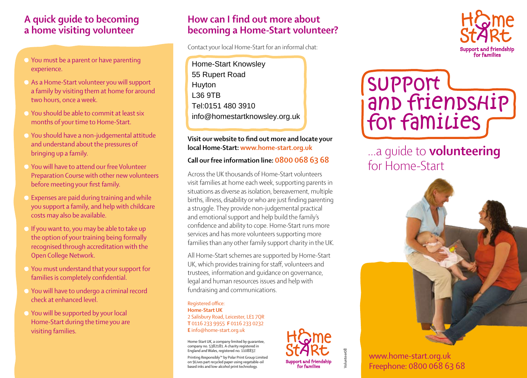### **A quick guide to becoming a home visiting volunteer**

- You must be a parent or have parenting experience.
- As a Home-Start volunteer you will support a family by visiting them at home for around two hours, once a week.
- You should be able to commit at least six months of your time to Home-Start.
- You should have a non-judgemental attitude and understand about the pressures of bringing up a family.
- You will have to attend our free Volunteer Preparation Course with other new volunteers before meeting your first family.
- $\bullet$  Expenses are paid during training and while you support a family, and help with childcare costs may also be available.
- If you want to, you may be able to take up the option of your training being formally recognised through accreditation with the Open College Network.
- You must understand that your support for families is completely confidential.
- You will have to undergo a criminal record check at enhanced level.
- You will be supported by your local Home-Start during the time you are visiting families.

## **How can I find out more about becoming a Home-Start volunteer?**

Contact your local Home-Start for an informal chat:

Home-Start Knowsley 55 Rupert Road Huyton L36 9TB Tel:0151 480 3910 info@homestartknowsley.org.uk

#### **Visit our website to find out more and locate your local Home-Start: www.home-start.org.uk**

### **Call our free information line: 0800 068 63 68**

Across the UK thousands of Home-Start volunteers visit families at home each week, supporting parents in situations as diverse as isolation, bereavement, multiple births, illness, disability or who are just finding parenting a struggle. They provide non-judgemental practical and emotional support and help build the family's confidence and ability to cope. Home-Start runs more services and has more volunteers supporting more families than any other family support charity in the UK.

All Home-Start schemes are supported by Home-Start UK, which provides training for staff, volunteers and trustees, information and guidance on governance, legal and human resources issues and help with fundraising and communications.

#### Registered office: **Home-Start UK** 2 Salisbury Road, Leicester, LE1 7QR **T** 0116 233 9955 **F** 0116 233 0232 **E** info@home-start.org.uk

Home-Start UK, a company limited by guarantee, company no. 5382181. A charity registered in England and Wales, registered no. 1108837.

Printing Responsibly™ by Polar Print Group Limited on 9Lives part recycled paper using vegetable-oil based inks and low-alcohol print technology.



Volunteer08



# …a guide to **volunteering** for Home-Start



www.home-start.org.uk Freephone: 0800 068 63 68